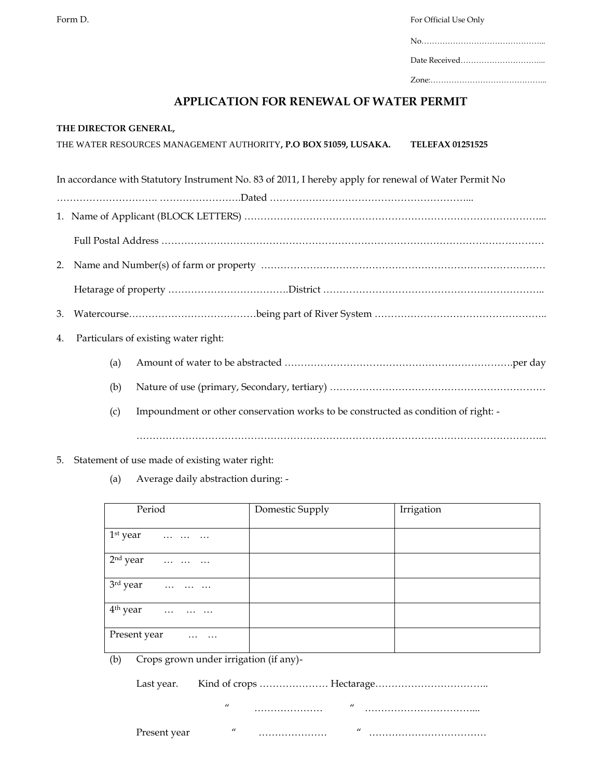Form D. **Form D.** Form  $\overline{D}$  and  $\overline{D}$  and  $\overline{D}$  and  $\overline{D}$  and  $\overline{D}$  and  $\overline{D}$  and  $\overline{D}$  and  $\overline{D}$  and  $\overline{D}$  and  $\overline{D}$  and  $\overline{D}$  and  $\overline{D}$  and  $\overline{D}$  and  $\overline{D}$  and  $\overline{D}$  and  $\overline$ 

| Zone <sup>.</sup> |  |
|-------------------|--|

## **APPLICATION FOR RENEWAL OF WATER PERMIT**

| THE DIRECTOR GENERAL, |  |
|-----------------------|--|
|-----------------------|--|

| THE WATER RESOURCES MANAGEMENT AUTHORITY, P.O BOX 51059, LUSAKA. | <b>TELEFAX 01251525</b> |
|------------------------------------------------------------------|-------------------------|
|                                                                  |                         |

In accordance with Statutory Instrument No. 83 of 2011, I hereby apply for renewal of Water Permit No

…………………………. …………………….Dated ……………………………………………………...

- 1. Name of Applicant (BLOCK LETTERS) ………………………………………………………………………………...
	- Full Postal Address ………………………………………………………………………………………………………
- 2. Name and Number(s) of farm or property ……………………………………………………………………………

Hetarage of property ……………………………….District …………………………………………………………..

3. Watercourse…………………………………being part of River System ……………………………………………..

- 4. Particulars of existing water right:
	- (a) Amount of water to be abstracted …………………………………………………………….per day
	- (b) Nature of use (primary, Secondary, tertiary) …………………………………………………………
	- (c) Impoundment or other conservation works to be constructed as condition of right: -

- 5. Statement of use made of existing water right:
	- (a) Average daily abstraction during: -

| Period                                                                                        | Domestic Supply | Irrigation |
|-----------------------------------------------------------------------------------------------|-----------------|------------|
| $1st$ year<br>$\cdots$                                                                        |                 |            |
| 2 <sup>nd</sup> year                                                                          |                 |            |
| 3rd year<br>$\begin{array}{cccccccccccccc} . & . & . & . & . & . & . & . & . & . \end{array}$ |                 |            |
| $4th$ year<br>$\sim 100$ km s $^{-1}$                                                         |                 |            |
| Present year<br>$\cdots$<br>$\cdots$                                                          |                 |            |

(b) Crops grown under irrigation (if any)-

" ………………… " ……………………………...

Present year " ………………… " ………………………………